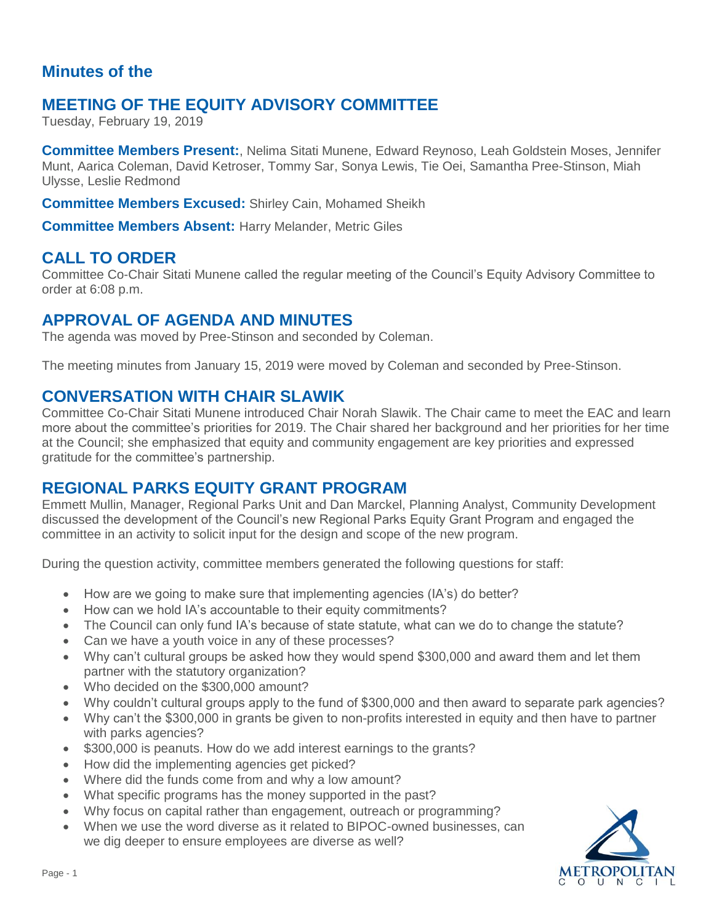## **Minutes of the**

# **MEETING OF THE EQUITY ADVISORY COMMITTEE**

Tuesday, February 19, 2019

**Committee Members Present:**, Nelima Sitati Munene, Edward Reynoso, Leah Goldstein Moses, Jennifer Munt, Aarica Coleman, David Ketroser, Tommy Sar, Sonya Lewis, Tie Oei, Samantha Pree-Stinson, Miah Ulysse, Leslie Redmond

**Committee Members Excused:** Shirley Cain, Mohamed Sheikh

**Committee Members Absent:** Harry Melander, Metric Giles

## **CALL TO ORDER**

Committee Co-Chair Sitati Munene called the regular meeting of the Council's Equity Advisory Committee to order at 6:08 p.m.

### **APPROVAL OF AGENDA AND MINUTES**

The agenda was moved by Pree-Stinson and seconded by Coleman.

The meeting minutes from January 15, 2019 were moved by Coleman and seconded by Pree-Stinson.

#### **CONVERSATION WITH CHAIR SLAWIK**

Committee Co-Chair Sitati Munene introduced Chair Norah Slawik. The Chair came to meet the EAC and learn more about the committee's priorities for 2019. The Chair shared her background and her priorities for her time at the Council; she emphasized that equity and community engagement are key priorities and expressed gratitude for the committee's partnership.

## **REGIONAL PARKS EQUITY GRANT PROGRAM**

Emmett Mullin, Manager, Regional Parks Unit and Dan Marckel, Planning Analyst, Community Development discussed the development of the Council's new Regional Parks Equity Grant Program and engaged the committee in an activity to solicit input for the design and scope of the new program.

During the question activity, committee members generated the following questions for staff:

- How are we going to make sure that implementing agencies (IA's) do better?
- How can we hold IA's accountable to their equity commitments?
- The Council can only fund IA's because of state statute, what can we do to change the statute?
- Can we have a youth voice in any of these processes?
- Why can't cultural groups be asked how they would spend \$300,000 and award them and let them partner with the statutory organization?
- Who decided on the \$300,000 amount?
- Why couldn't cultural groups apply to the fund of \$300,000 and then award to separate park agencies?
- Why can't the \$300,000 in grants be given to non-profits interested in equity and then have to partner with parks agencies?
- \$300,000 is peanuts. How do we add interest earnings to the grants?
- How did the implementing agencies get picked?
- Where did the funds come from and why a low amount?
- What specific programs has the money supported in the past?
- Why focus on capital rather than engagement, outreach or programming?
- When we use the word diverse as it related to BIPOC-owned businesses, can we dig deeper to ensure employees are diverse as well?

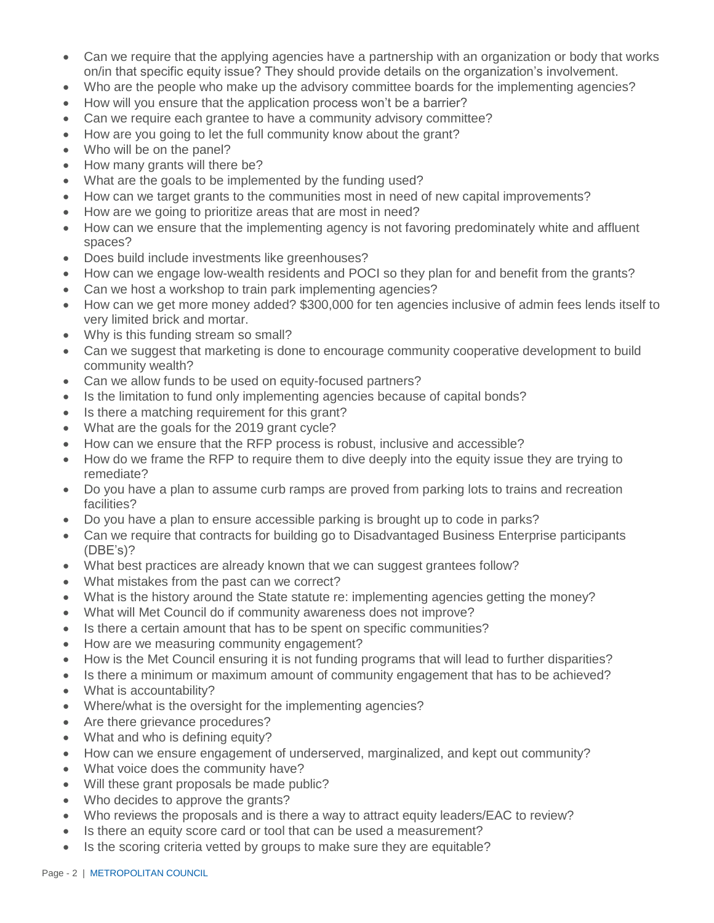- Can we require that the applying agencies have a partnership with an organization or body that works on/in that specific equity issue? They should provide details on the organization's involvement.
- Who are the people who make up the advisory committee boards for the implementing agencies?
- How will you ensure that the application process won't be a barrier?
- Can we require each grantee to have a community advisory committee?
- How are you going to let the full community know about the grant?
- Who will be on the panel?
- How many grants will there be?
- What are the goals to be implemented by the funding used?
- How can we target grants to the communities most in need of new capital improvements?
- How are we going to prioritize areas that are most in need?
- How can we ensure that the implementing agency is not favoring predominately white and affluent spaces?
- Does build include investments like greenhouses?
- How can we engage low-wealth residents and POCI so they plan for and benefit from the grants?
- Can we host a workshop to train park implementing agencies?
- How can we get more money added? \$300,000 for ten agencies inclusive of admin fees lends itself to very limited brick and mortar.
- Why is this funding stream so small?
- Can we suggest that marketing is done to encourage community cooperative development to build community wealth?
- Can we allow funds to be used on equity-focused partners?
- Is the limitation to fund only implementing agencies because of capital bonds?
- Is there a matching requirement for this grant?
- What are the goals for the 2019 grant cycle?
- How can we ensure that the RFP process is robust, inclusive and accessible?
- How do we frame the RFP to require them to dive deeply into the equity issue they are trying to remediate?
- Do you have a plan to assume curb ramps are proved from parking lots to trains and recreation facilities?
- Do you have a plan to ensure accessible parking is brought up to code in parks?
- Can we require that contracts for building go to Disadvantaged Business Enterprise participants (DBE's)?
- What best practices are already known that we can suggest grantees follow?
- What mistakes from the past can we correct?
- What is the history around the State statute re: implementing agencies getting the money?
- What will Met Council do if community awareness does not improve?
- Is there a certain amount that has to be spent on specific communities?
- How are we measuring community engagement?
- How is the Met Council ensuring it is not funding programs that will lead to further disparities?
- Is there a minimum or maximum amount of community engagement that has to be achieved?
- What is accountability?
- Where/what is the oversight for the implementing agencies?
- Are there grievance procedures?
- What and who is defining equity?
- How can we ensure engagement of underserved, marginalized, and kept out community?
- What voice does the community have?
- Will these grant proposals be made public?
- Who decides to approve the grants?
- Who reviews the proposals and is there a way to attract equity leaders/EAC to review?
- Is there an equity score card or tool that can be used a measurement?
- Is the scoring criteria vetted by groups to make sure they are equitable?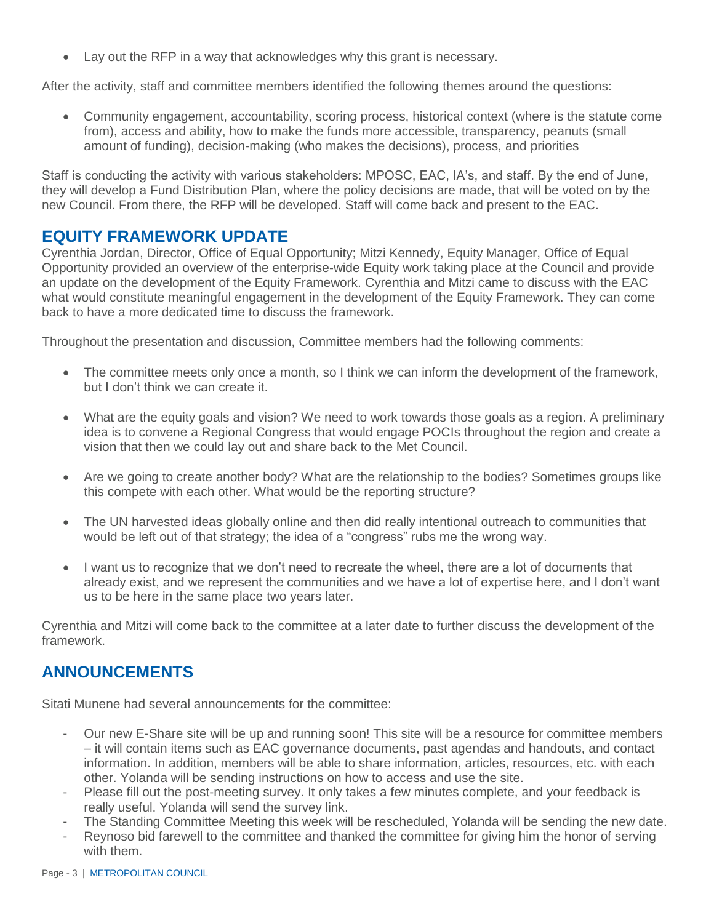• Lay out the RFP in a way that acknowledges why this grant is necessary.

After the activity, staff and committee members identified the following themes around the questions:

• Community engagement, accountability, scoring process, historical context (where is the statute come from), access and ability, how to make the funds more accessible, transparency, peanuts (small amount of funding), decision-making (who makes the decisions), process, and priorities

Staff is conducting the activity with various stakeholders: MPOSC, EAC, IA's, and staff. By the end of June, they will develop a Fund Distribution Plan, where the policy decisions are made, that will be voted on by the new Council. From there, the RFP will be developed. Staff will come back and present to the EAC.

#### **EQUITY FRAMEWORK UPDATE**

Cyrenthia Jordan, Director, Office of Equal Opportunity; Mitzi Kennedy, Equity Manager, Office of Equal Opportunity provided an overview of the enterprise-wide Equity work taking place at the Council and provide an update on the development of the Equity Framework. Cyrenthia and Mitzi came to discuss with the EAC what would constitute meaningful engagement in the development of the Equity Framework. They can come back to have a more dedicated time to discuss the framework.

Throughout the presentation and discussion, Committee members had the following comments:

- The committee meets only once a month, so I think we can inform the development of the framework, but I don't think we can create it.
- What are the equity goals and vision? We need to work towards those goals as a region. A preliminary idea is to convene a Regional Congress that would engage POCIs throughout the region and create a vision that then we could lay out and share back to the Met Council.
- Are we going to create another body? What are the relationship to the bodies? Sometimes groups like this compete with each other. What would be the reporting structure?
- The UN harvested ideas globally online and then did really intentional outreach to communities that would be left out of that strategy; the idea of a "congress" rubs me the wrong way.
- I want us to recognize that we don't need to recreate the wheel, there are a lot of documents that already exist, and we represent the communities and we have a lot of expertise here, and I don't want us to be here in the same place two years later.

Cyrenthia and Mitzi will come back to the committee at a later date to further discuss the development of the framework.

## **ANNOUNCEMENTS**

Sitati Munene had several announcements for the committee:

- Our new E-Share site will be up and running soon! This site will be a resource for committee members – it will contain items such as EAC governance documents, past agendas and handouts, and contact information. In addition, members will be able to share information, articles, resources, etc. with each other. Yolanda will be sending instructions on how to access and use the site.
- Please fill out the post-meeting survey. It only takes a few minutes complete, and your feedback is really useful. Yolanda will send the survey link.
- The Standing Committee Meeting this week will be rescheduled, Yolanda will be sending the new date.
- Reynoso bid farewell to the committee and thanked the committee for giving him the honor of serving with them.